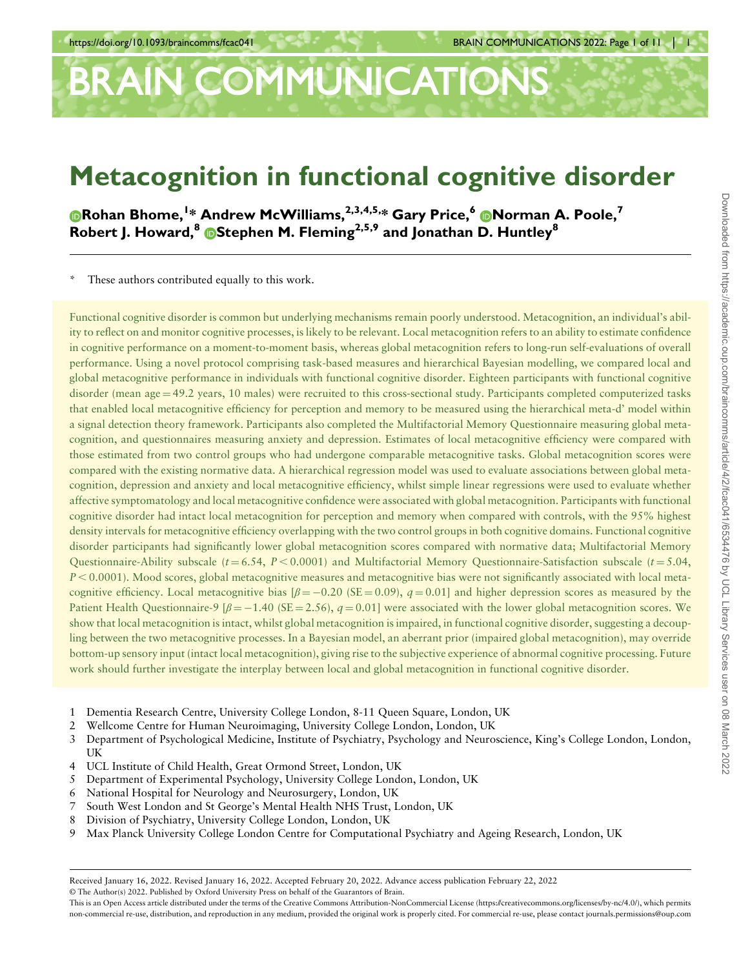# BRAIN COMMUNICATIONS

## Metacognition in functional cognitive disorder

[R](https://orcid.org/0000-0002-8317-7930)ohan Bhome,<sup>1</sup> \* Andrew McWilliams,2,3,4,5,\* Gary Price,6 Norman A. Poole,<sup>7</sup> Robert J. Howard,  $8\overline{B}$ [S](https://orcid.org/0000-0003-0233-4891)tephen M. Fleming<sup>2,5,9</sup> and Jonathan D. Huntley<sup>8</sup>

These authors contributed equally to this work.

Functional cognitive disorder is common but underlying mechanisms remain poorly understood. Metacognition, an individual's ability to reflect on and monitor cognitive processes, is likely to be relevant. Local metacognition refers to an ability to estimate confidence in cognitive performance on a moment-to-moment basis, whereas global metacognition refers to long-run self-evaluations of overall performance. Using a novel protocol comprising task-based measures and hierarchical Bayesian modelling, we compared local and global metacognitive performance in individuals with functional cognitive disorder. Eighteen participants with functional cognitive disorder (mean age = 49.2 years, 10 males) were recruited to this cross-sectional study. Participants completed computerized tasks that enabled local metacognitive efficiency for perception and memory to be measured using the hierarchical meta-d' model within a signal detection theory framework. Participants also completed the Multifactorial Memory Questionnaire measuring global metacognition, and questionnaires measuring anxiety and depression. Estimates of local metacognitive efficiency were compared with those estimated from two control groups who had undergone comparable metacognitive tasks. Global metacognition scores were compared with the existing normative data. A hierarchical regression model was used to evaluate associations between global metacognition, depression and anxiety and local metacognitive efficiency, whilst simple linear regressions were used to evaluate whether affective symptomatology and local metacognitive confidence were associated with global metacognition. Participants with functional cognitive disorder had intact local metacognition for perception and memory when compared with controls, with the 95% highest density intervals for metacognitive efficiency overlapping with the two control groups in both cognitive domains. Functional cognitive disorder participants had significantly lower global metacognition scores compared with normative data; Multifactorial Memory Questionnaire-Ability subscale ( $t = 6.54$ ,  $P < 0.0001$ ) and Multifactorial Memory Questionnaire-Satisfaction subscale ( $t = 5.04$ ,  $P < 0.0001$ ). Mood scores, global metacognitive measures and metacognitive bias were not significantly associated with local metacognitive efficiency. Local metacognitive bias  $\beta = -0.20$  (SE = 0.09),  $q = 0.01$  and higher depression scores as measured by the Patient Health Questionnaire-9  $\beta = -1.40$  (SE = 2.56),  $q = 0.01$ ] were associated with the lower global metacognition scores. We show that local metacognition is intact, whilst global metacognition is impaired, in functional cognitive disorder, suggesting a decoupling between the two metacognitive processes. In a Bayesian model, an aberrant prior (impaired global metacognition), may override bottom-up sensory input (intact local metacognition), giving rise to the subjective experience of abnormal cognitive processing. Future work should further investigate the interplay between local and global metacognition in functional cognitive disorder.

- 1 Dementia Research Centre, University College London, 8-11 Queen Square, London, UK
- 2 Wellcome Centre for Human Neuroimaging, University College London, London, UK
- 3 Department of Psychological Medicine, Institute of Psychiatry, Psychology and Neuroscience, King's College London, London, UK
- 4 UCL Institute of Child Health, Great Ormond Street, London, UK
- 5 Department of Experimental Psychology, University College London, London, UK
- 6 National Hospital for Neurology and Neurosurgery, London, UK
- 7 South West London and St George's Mental Health NHS Trust, London, UK
- 8 Division of Psychiatry, University College London, London, UK
- 9 Max Planck University College London Centre for Computational Psychiatry and Ageing Research, London, UK

© The Author(s) 2022. Published by Oxford University Press on behalf of the Guarantors of Brain.

Received January 16, 2022. Revised January 16, 2022. Accepted February 20, 2022. Advance access publication February 22, 2022

This is an Open Access article distributed under the terms of the Creative Commons Attribution-NonCommercial License (<https://creativecommons.org/licenses/by-nc/4.0/>), which permits non-commercial re-use, distribution, and reproduction in any medium, provided the original work is properly cited. For commercial re-use, please contact journals.permissions@oup.com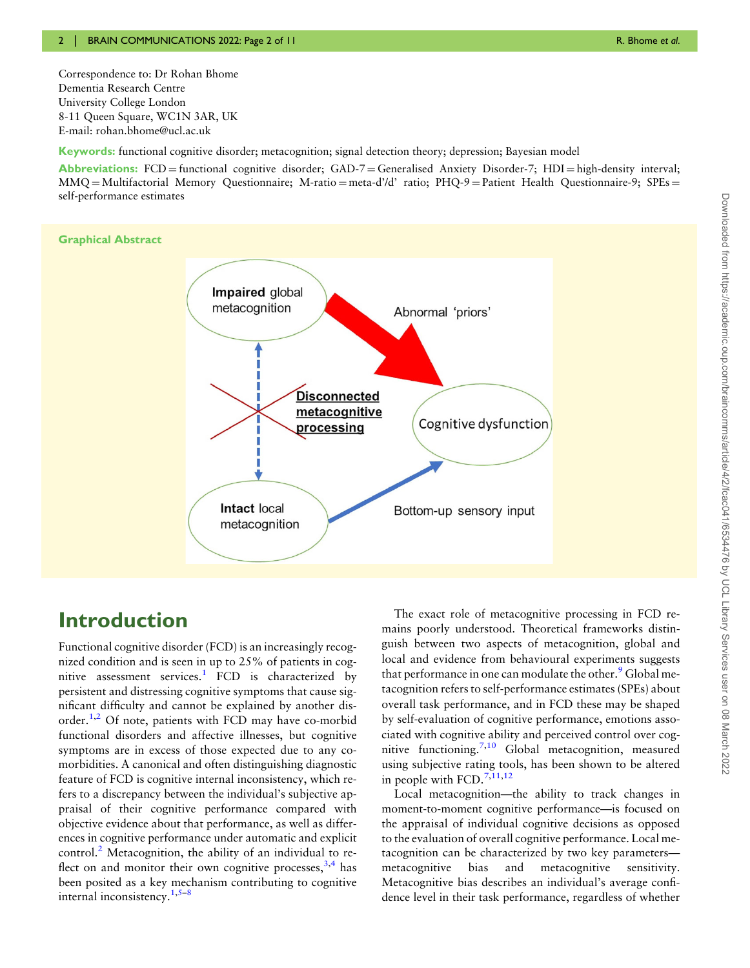Correspondence to: Dr Rohan Bhome Dementia Research Centre University College London 8-11 Queen Square, WC1N 3AR, UK E-mail: [rohan.bhome@ucl.ac.uk](mailto:rohan.bhome@ucl.ac.uk)

Keywords: functional cognitive disorder; metacognition; signal detection theory; depression; Bayesian model

Abbreviations:  $FCD =$  functional cognitive disorder;  $GAD - 7 =$  Generalised Anxiety Disorder-7;  $HDI =$  high-density interval; MMQ = Multifactorial Memory Questionnaire; M-ratio = meta-d'/d' ratio; PHQ-9 = Patient Health Questionnaire-9; SPEs = self-performance estimates



## Introduction

<span id="page-1-2"></span><span id="page-1-1"></span><span id="page-1-0"></span>Functional cognitive disorder (FCD) is an increasingly recognized condition and is seen in up to 25% of patients in cog-nitive assessment services.<sup>[1](#page-9-0)</sup> FCD is characterized by persistent and distressing cognitive symptoms that cause significant difficulty and cannot be explained by another disorder. $1,2$  Of note, patients with FCD may have co-morbid functional disorders and affective illnesses, but cognitive symptoms are in excess of those expected due to any comorbidities. A canonical and often distinguishing diagnostic feature of FCD is cognitive internal inconsistency, which refers to a discrepancy between the individual's subjective appraisal of their cognitive performance compared with objective evidence about that performance, as well as differences in cognitive performance under automatic and explicit control. $^{2}$  $^{2}$  $^{2}$  Metacognition, the ability of an individual to reflect on and monitor their own cognitive processes,  $3,4$  has been posited as a key mechanism contributing to cognitive internal inconsistency.[1,5](#page-9-0)–[8](#page-10-0)

<span id="page-1-4"></span>The exact role of metacognitive processing in FCD remains poorly understood. Theoretical frameworks distinguish between two aspects of metacognition, global and local and evidence from behavioural experiments suggests that performance in one can modulate the other.<sup>[9](#page-10-0)</sup> Global metacognition refers to self-performance estimates (SPEs) about overall task performance, and in FCD these may be shaped by self-evaluation of cognitive performance, emotions associated with cognitive ability and perceived control over cognitive functioning[.7,10](#page-10-0) Global metacognition, measured using subjective rating tools, has been shown to be altered in people with  $FCD.^{7,11,12}$  $FCD.^{7,11,12}$  $FCD.^{7,11,12}$ 

<span id="page-1-5"></span><span id="page-1-3"></span>Local metacognition—the ability to track changes in moment-to-moment cognitive performance—is focused on the appraisal of individual cognitive decisions as opposed to the evaluation of overall cognitive performance. Local metacognition can be characterized by two key parameters metacognitive bias and metacognitive sensitivity. Metacognitive bias describes an individual's average confidence level in their task performance, regardless of whether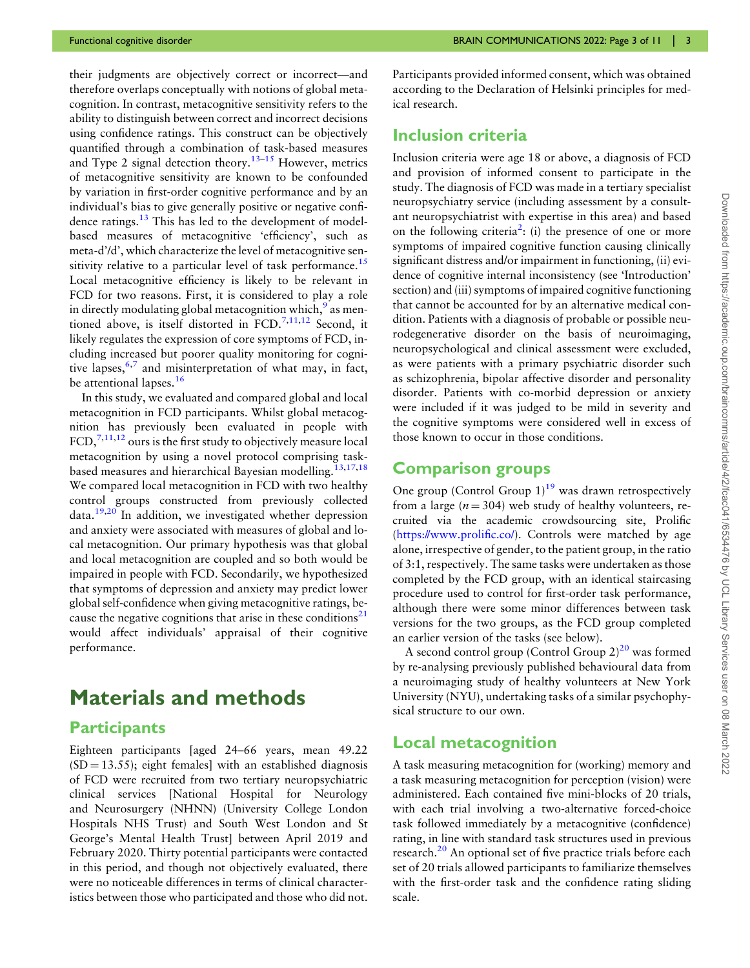<span id="page-2-1"></span>their judgments are objectively correct or incorrect—and therefore overlaps conceptually with notions of global metacognition. In contrast, metacognitive sensitivity refers to the ability to distinguish between correct and incorrect decisions using confidence ratings. This construct can be objectively quantified through a combination of task-based measures and Type 2 signal detection theory.<sup>[13](#page-10-0)-[15](#page-10-0)</sup> However, metrics of metacognitive sensitivity are known to be confounded by variation in first-order cognitive performance and by an individual's bias to give generally positive or negative confi-dence ratings.<sup>[13](#page-10-0)</sup> This has led to the development of modelbased measures of metacognitive 'efficiency', such as meta-d'/d', which characterize the level of metacognitive sen-sitivity relative to a particular level of task performance.<sup>[15](#page-10-0)</sup> Local metacognitive efficiency is likely to be relevant in FCD for two reasons. First, it is considered to play a role in directly modulating global metacognition which, $9$  as men-tioned above, is itself distorted in FCD.<sup>[7,11,12](#page-10-0)</sup> Second, it likely regulates the expression of core symptoms of FCD, including increased but poorer quality monitoring for cognitive lapses,  $6,7$  $6,7$  and misinterpretation of what may, in fact, be attentional lapses.<sup>[16](#page-10-0)</sup>

<span id="page-2-3"></span><span id="page-2-2"></span><span id="page-2-0"></span>In this study, we evaluated and compared global and local metacognition in FCD participants. Whilst global metacognition has previously been evaluated in people with  $FCD$ ,  $7,11,12$  ours is the first study to objectively measure local metacognition by using a novel protocol comprising task-based measures and hierarchical Bayesian modelling.<sup>[13,17,18](#page-10-0)</sup> We compared local metacognition in FCD with two healthy control groups constructed from previously collected data[.19,20](#page-10-0) In addition, we investigated whether depression and anxiety were associated with measures of global and local metacognition. Our primary hypothesis was that global and local metacognition are coupled and so both would be impaired in people with FCD. Secondarily, we hypothesized that symptoms of depression and anxiety may predict lower global self-confidence when giving metacognitive ratings, be-cause the negative cognitions that arise in these conditions<sup>[21](#page-10-0)</sup> would affect individuals' appraisal of their cognitive performance.

## <span id="page-2-6"></span>Materials and methods

#### **Participants**

Eighteen participants [aged 24–66 years, mean 49.22  $(SD = 13.55)$ ; eight females] with an established diagnosis of FCD were recruited from two tertiary neuropsychiatric clinical services [National Hospital for Neurology and Neurosurgery (NHNN) (University College London Hospitals NHS Trust) and South West London and St George's Mental Health Trust] between April 2019 and February 2020. Thirty potential participants were contacted in this period, and though not objectively evaluated, there were no noticeable differences in terms of clinical characteristics between those who participated and those who did not.

Participants provided informed consent, which was obtained according to the Declaration of Helsinki principles for medical research.

#### Inclusion criteria

Inclusion criteria were age 18 or above, a diagnosis of FCD and provision of informed consent to participate in the study. The diagnosis of FCD was made in a tertiary specialist neuropsychiatry service (including assessment by a consultant neuropsychiatrist with expertise in this area) and based on the following criteria<sup>[2](#page-9-0)</sup>: (i) the presence of one or more symptoms of impaired cognitive function causing clinically significant distress and/or impairment in functioning, (ii) evidence of cognitive internal inconsistency (see 'Introduction' section) and (iii) symptoms of impaired cognitive functioning that cannot be accounted for by an alternative medical condition. Patients with a diagnosis of probable or possible neurodegenerative disorder on the basis of neuroimaging, neuropsychological and clinical assessment were excluded, as were patients with a primary psychiatric disorder such as schizophrenia, bipolar affective disorder and personality disorder. Patients with co-morbid depression or anxiety were included if it was judged to be mild in severity and the cognitive symptoms were considered well in excess of those known to occur in those conditions.

#### Comparison groups

<span id="page-2-4"></span>One group (Control Group  $1$ )<sup>[19](#page-10-0)</sup> was drawn retrospectively from a large ( $n = 304$ ) web study of healthy volunteers, recruited via the academic crowdsourcing site, Prolific ([https://www.proli](https://www.prolific.co/)fic.co/). Controls were matched by age alone, irrespective of gender, to the patient group, in the ratio of 3:1, respectively. The same tasks were undertaken as those completed by the FCD group, with an identical staircasing procedure used to control for first-order task performance, although there were some minor differences between task versions for the two groups, as the FCD group completed an earlier version of the tasks (see below).

A second control group (Control Group  $2)^{20}$  was formed by re-analysing previously published behavioural data from a neuroimaging study of healthy volunteers at New York University (NYU), undertaking tasks of a similar psychophysical structure to our own.

#### Local metacognition

<span id="page-2-5"></span>A task measuring metacognition for (working) memory and a task measuring metacognition for perception (vision) were administered. Each contained five mini-blocks of 20 trials, with each trial involving a two-alternative forced-choice task followed immediately by a metacognitive (confidence) rating, in line with standard task structures used in previous research.<sup>20</sup> An optional set of five practice trials before each set of 20 trials allowed participants to familiarize themselves with the first-order task and the confidence rating sliding scale.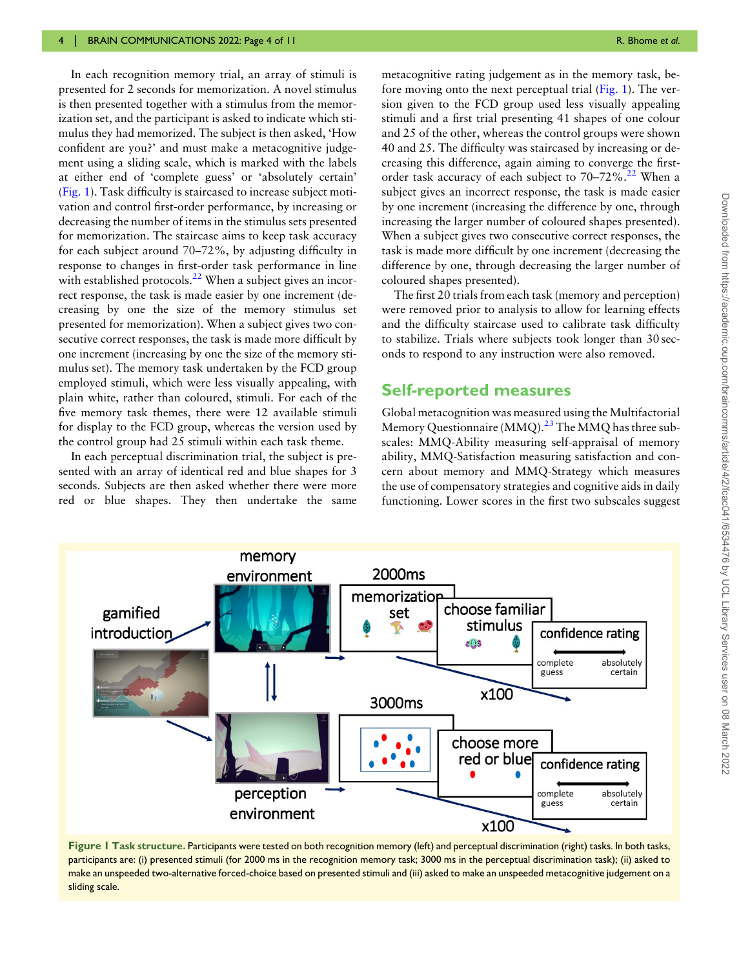In each recognition memory trial, an array of stimuli is presented for 2 seconds for memorization. A novel stimulus is then presented together with a stimulus from the memorization set, and the participant is asked to indicate which stimulus they had memorized. The subject is then asked, 'How confident are you?' and must make a metacognitive judgement using a sliding scale, which is marked with the labels at either end of 'complete guess' or 'absolutely certain' (Fig. 1). Task difficulty is staircased to increase subject motivation and control first-order performance, by increasing or decreasing the number of items in the stimulus sets presented for memorization. The staircase aims to keep task accuracy for each subject around 70–72%, by adjusting difficulty in response to changes in first-order task performance in line with established protocols.<sup>22</sup> When a subject gives an incorrect response, the task is made easier by one increment (decreasing by one the size of the memory stimulus set presented for memorization). When a subject gives two consecutive correct responses, the task is made more difficult by one increment (increasing by one the size of the memory stimulus set). The memory task undertaken by the FCD group employed stimuli, which were less visually appealing, with plain white, rather than coloured, stimuli. For each of the five memory task themes, there were 12 available stimuli for display to the FCD group, whereas the version used by the control group had 25 stimuli within each task theme.

In each perceptual discrimination trial, the subject is presented with an array of identical red and blue shapes for 3 seconds. Subjects are then asked whether there were more red or blue shapes. They then undertake the same

<span id="page-3-0"></span>metacognitive rating judgement as in the memory task, before moving onto the next perceptual trial (Fig. 1). The version given to the FCD group used less visually appealing stimuli and a first trial presenting 41 shapes of one colour and 25 of the other, whereas the control groups were shown 40 and 25. The difficulty was staircased by increasing or decreasing this difference, again aiming to converge the firstorder task accuracy of each subject to  $70-72\%$ .<sup>[22](#page-10-0)</sup> When a subject gives an incorrect response, the task is made easier by one increment (increasing the difference by one, through increasing the larger number of coloured shapes presented). When a subject gives two consecutive correct responses, the task is made more difficult by one increment (decreasing the difference by one, through decreasing the larger number of coloured shapes presented).

The first 20 trials from each task (memory and perception) were removed prior to analysis to allow for learning effects and the difficulty staircase used to calibrate task difficulty to stabilize. Trials where subjects took longer than 30 seconds to respond to any instruction were also removed.

#### Self-reported measures

<span id="page-3-1"></span>Global metacognition was measured using the Multifactorial Memory Questionnaire (MMQ).<sup>[23](#page-10-0)</sup> The MMQ has three subscales: MMQ-Ability measuring self-appraisal of memory ability, MMQ-Satisfaction measuring satisfaction and concern about memory and MMQ-Strategy which measures the use of compensatory strategies and cognitive aids in daily functioning. Lower scores in the first two subscales suggest



Figure 1 Task structure. Participants were tested on both recognition memory (left) and perceptual discrimination (right) tasks, In both tasks, participants are: (i) presented stimuli (for 2000 ms in the recognition memory task; 3000 ms in the perceptual discrimination task); (ii) asked to make an unspeeded two-alternative forced-choice based on presented stimuli and (iii) asked to make an unspeeded metacognitive judgement on a sliding scale.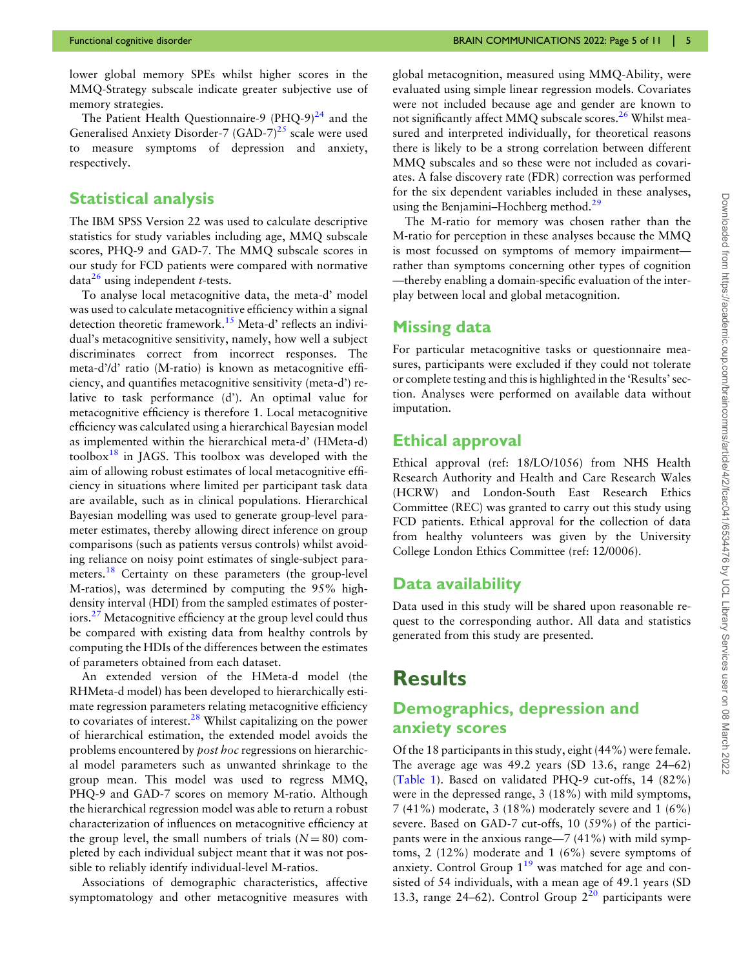lower global memory SPEs whilst higher scores in the MMQ-Strategy subscale indicate greater subjective use of memory strategies.

<span id="page-4-1"></span><span id="page-4-0"></span>The Patient Health Questionnaire-9  $(PHQ-9)^{24}$  $(PHQ-9)^{24}$  $(PHQ-9)^{24}$  and the Generalised Anxiety Disorder-7 (GAD-7)<sup>25</sup> scale were used to measure symptoms of depression and anxiety, respectively.

#### Statistical analysis

The IBM SPSS Version 22 was used to calculate descriptive statistics for study variables including age, MMQ subscale scores, PHQ-9 and GAD-7. The MMQ subscale scores in our study for FCD patients were compared with normative  $data<sup>26</sup>$  $data<sup>26</sup>$  $data<sup>26</sup>$  using independent *t*-tests.

To analyse local metacognitive data, the meta-d' model was used to calculate metacognitive efficiency within a signal detection theoretic framework.<sup>[15](#page-10-0)</sup> Meta-d' reflects an individual's metacognitive sensitivity, namely, how well a subject discriminates correct from incorrect responses. The meta-d'/d' ratio (M-ratio) is known as metacognitive efficiency, and quantifies metacognitive sensitivity (meta-d') relative to task performance (d'). An optimal value for metacognitive efficiency is therefore 1. Local metacognitive efficiency was calculated using a hierarchical Bayesian model as implemented within the hierarchical meta-d' (HMeta-d) toolbox<sup>[18](#page-10-0)</sup> in JAGS. This toolbox was developed with the aim of allowing robust estimates of local metacognitive efficiency in situations where limited per participant task data are available, such as in clinical populations. Hierarchical Bayesian modelling was used to generate group-level parameter estimates, thereby allowing direct inference on group comparisons (such as patients versus controls) whilst avoiding reliance on noisy point estimates of single-subject para-meters.<sup>[18](#page-10-0)</sup> Certainty on these parameters (the group-level M-ratios), was determined by computing the 95% highdensity interval (HDI) from the sampled estimates of posteriors.[27](#page-10-0) Metacognitive efficiency at the group level could thus be compared with existing data from healthy controls by computing the HDIs of the differences between the estimates of parameters obtained from each dataset.

<span id="page-4-4"></span><span id="page-4-3"></span>An extended version of the HMeta-d model (the RHMeta-d model) has been developed to hierarchically estimate regression parameters relating metacognitive efficiency to covariates of interest. $28$  Whilst capitalizing on the power of hierarchical estimation, the extended model avoids the problems encountered by post hoc regressions on hierarchical model parameters such as unwanted shrinkage to the group mean. This model was used to regress MMQ, PHQ-9 and GAD-7 scores on memory M-ratio. Although the hierarchical regression model was able to return a robust characterization of influences on metacognitive efficiency at the group level, the small numbers of trials  $(N = 80)$  completed by each individual subject meant that it was not possible to reliably identify individual-level M-ratios.

Associations of demographic characteristics, affective symptomatology and other metacognitive measures with <span id="page-4-2"></span>global metacognition, measured using MMQ-Ability, were evaluated using simple linear regression models. Covariates were not included because age and gender are known to not significantly affect MMQ subscale scores.<sup>[26](#page-10-0)</sup> Whilst measured and interpreted individually, for theoretical reasons there is likely to be a strong correlation between different MMQ subscales and so these were not included as covariates. A false discovery rate (FDR) correction was performed for the six dependent variables included in these analyses, using the Benjamini–Hochberg method.<sup>[29](#page-10-0)</sup>

<span id="page-4-5"></span>The M-ratio for memory was chosen rather than the M-ratio for perception in these analyses because the MMQ is most focussed on symptoms of memory impairment rather than symptoms concerning other types of cognition —thereby enabling a domain-specific evaluation of the interplay between local and global metacognition.

#### Missing data

For particular metacognitive tasks or questionnaire measures, participants were excluded if they could not tolerate or complete testing and this is highlighted in the 'Results'section. Analyses were performed on available data without imputation.

#### Ethical approval

Ethical approval (ref: 18/LO/1056) from NHS Health Research Authority and Health and Care Research Wales (HCRW) and London-South East Research Ethics Committee (REC) was granted to carry out this study using FCD patients. Ethical approval for the collection of data from healthy volunteers was given by the University College London Ethics Committee (ref: 12/0006).

#### Data availability

Data used in this study will be shared upon reasonable request to the corresponding author. All data and statistics generated from this study are presented.

## **Results**

#### Demographics, depression and anxiety scores

Of the 18 participants in this study, eight (44%) were female. The average age was 49.2 years (SD 13.6, range 24–62) ([Table 1\)](#page-5-0). Based on validated PHQ-9 cut-offs, 14 (82%) were in the depressed range, 3 (18%) with mild symptoms, 7 (41%) moderate, 3 (18%) moderately severe and 1 (6%) severe. Based on GAD-7 cut-offs, 10 (59%) of the participants were in the anxious range—7 (41%) with mild symptoms, 2 (12%) moderate and 1 (6%) severe symptoms of anxiety. Control Group  $1^{19}$  $1^{19}$  $1^{19}$  was matched for age and consisted of 54 individuals, with a mean age of 49.1 years (SD 13.3, range 24–62). Control Group  $2^{20}$  $2^{20}$  $2^{20}$  participants were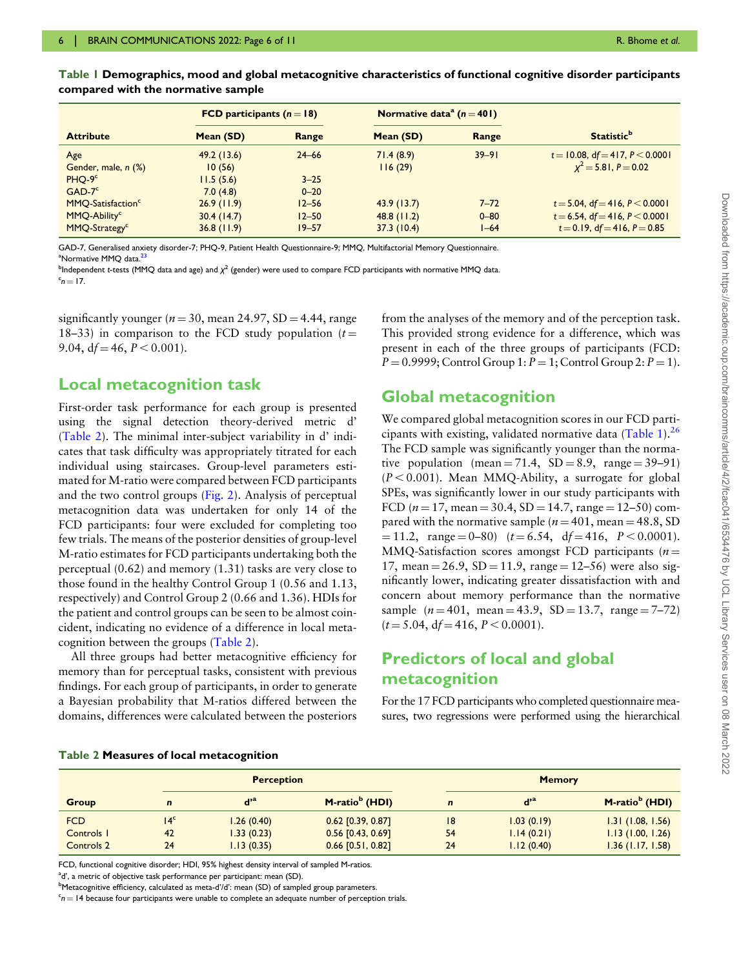|                               | FCD participants $(n = 18)$ |           | Normative data <sup>a</sup> ( $n = 401$ ) |           |                                    |
|-------------------------------|-----------------------------|-----------|-------------------------------------------|-----------|------------------------------------|
| <b>Attribute</b>              | Mean (SD)                   | Range     | Mean (SD)                                 | Range     | <b>Statistic</b> <sup>b</sup>      |
| Age                           | 49.2(13.6)                  | $24 - 66$ | 71.4(8.9)                                 | $39 - 91$ | $t = 10.08$ , df = 417, P < 0.0001 |
| Gender, male, n (%)           | 10(56)                      |           | 116(29)                                   |           | $x^2 = 5.81, P = 0.02$             |
| PHO-9°                        | 11.5(5.6)                   | $3 - 25$  |                                           |           |                                    |
| $GAD-7c$                      | 7.0(4.8)                    | $0 - 20$  |                                           |           |                                    |
| MMQ-Satisfaction <sup>c</sup> | 26.9(11.9)                  | $12 - 56$ | 43.9(13.7)                                | $7 - 72$  | $t = 5.04$ , df = 416, P < 0.0001  |
| MMQ-Ability <sup>c</sup>      | 30.4(14.7)                  | $12 - 50$ | $48.8$ (11.2)                             | $0 - 80$  | $t = 6.54$ , df = 416, P < 0.0001  |
| MMQ-Strategy <sup>c</sup>     | $36.8$ (11.9)               | $19 - 57$ | 37.3(10.4)                                | $1 - 64$  | $t = 0.19$ , df = 416, P = 0.85    |

<span id="page-5-0"></span>Table 1 Demographics, mood and global metacognitive characteristics of functional cognitive disorder participants compared with the normative sample

GAD-7, Generalised anxiety disorder-7; PHQ-9, Patient Health Questionnaire-9; MMQ, Multifactorial Memory Questionnaire. <sup>a</sup>Normative MMQ data.<sup>[23](#page-10-0)</sup>

<sup>b</sup>Independent t-tests (MMQ data and age) and χ<sup>2</sup> (gender) were used to compare FCD participants with normative MMQ data.<br><sup>c</sup>n — 17  $n = 17$ 

significantly younger ( $n = 30$ , mean 24.97, SD = 4.44, range 18–33) in comparison to the FCD study population  $(t =$ 9.04,  $df = 46$ ,  $P < 0.001$ ).

#### Local metacognition task

First-order task performance for each group is presented using the signal detection theory-derived metric d' (Table 2). The minimal inter-subject variability in d' indicates that task difficulty was appropriately titrated for each individual using staircases. Group-level parameters estimated for M-ratio were compared between FCD participants and the two control groups [\(Fig. 2](#page-6-0)). Analysis of perceptual metacognition data was undertaken for only 14 of the FCD participants: four were excluded for completing too few trials. The means of the posterior densities of group-level M-ratio estimates for FCD participants undertaking both the perceptual (0.62) and memory (1.31) tasks are very close to those found in the healthy Control Group 1 (0.56 and 1.13, respectively) and Control Group 2 (0.66 and 1.36). HDIs for the patient and control groups can be seen to be almost coincident, indicating no evidence of a difference in local metacognition between the groups (Table 2).

All three groups had better metacognitive efficiency for memory than for perceptual tasks, consistent with previous findings. For each group of participants, in order to generate a Bayesian probability that M-ratios differed between the domains, differences were calculated between the posteriors

from the analyses of the memory and of the perception task. This provided strong evidence for a difference, which was present in each of the three groups of participants (FCD:  $P = 0.9999$ ; Control Group 1:  $P = 1$ ; Control Group 2:  $P = 1$ ).

#### Global metacognition

We compared global metacognition scores in our FCD participants with existing, validated normative data (Table 1).[26](#page-10-0) The FCD sample was significantly younger than the normative population (mean  $= 71.4$ , SD  $= 8.9$ , range  $= 39-91$ )  $(P < 0.001)$ . Mean MMQ-Ability, a surrogate for global SPEs, was significantly lower in our study participants with FCD ( $n = 17$ , mean = 30.4, SD = 14.7, range = 12–50) compared with the normative sample ( $n = 401$ , mean = 48.8, SD  $= 11.2$ , range  $= 0-80$ ) ( $t = 6.54$ ,  $df = 416$ ,  $P < 0.0001$ ). MMQ-Satisfaction scores amongst FCD participants ( $n =$ 17, mean =  $26.9$ , SD = 11.9, range =  $12-56$ ) were also significantly lower, indicating greater dissatisfaction with and concern about memory performance than the normative sample  $(n = 401$ , mean = 43.9, SD = 13.7, range = 7–72)  $(t = 5.04, df = 416, P < 0.0001).$ 

#### Predictors of local and global metacognition

For the 17 FCD participants who completed questionnaire measures, two regressions were performed using the hierarchical

| Table 2 Measures of local metacognition |  |  |  |
|-----------------------------------------|--|--|--|
|-----------------------------------------|--|--|--|

|              | <b>Perception</b> |                         |                            | <b>Memory</b> |                         |                            |
|--------------|-------------------|-------------------------|----------------------------|---------------|-------------------------|----------------------------|
| <b>Group</b> | $\mathbf n$       | $\mathbf{d}^{\prime a}$ | M-ratio <sup>b</sup> (HDI) | $\mathbf n$   | $\mathbf{d}^{\prime a}$ | M-ratio <sup>b</sup> (HDI) |
| <b>FCD</b>   | 14 <sup>c</sup>   | 1.26(0.40)              | $0.62$ [0.39, 0.87]        | 8             | 1.03(0.19)              | 1.31(1.08, 1.56)           |
| Controls I   | 42                | 1.33(0.23)              | $0.56$ [0.43, 0.69]        | 54            | 1.14(0.21)              | 1.13(1.00, 1.26)           |
| Controls 2   | 24                | 1.13(0.35)              | $0.66$ [0.51, 0.82]        | 24            | 1.12(0.40)              | $1.36$ (1.17, 1.58)        |

FCD, functional cognitive disorder; HDI, 95% highest density interval of sampled M-ratios.

<sup>a</sup>d', a metric of objective task performance per participant: mean (SD).

<sup>b</sup>Metacognitive efficiency, calculated as meta-d'/d': mean (SD) of sampled group parameters.

 $c_{n} = 14$  because four participants were unable to complete an adequate number of perception trials.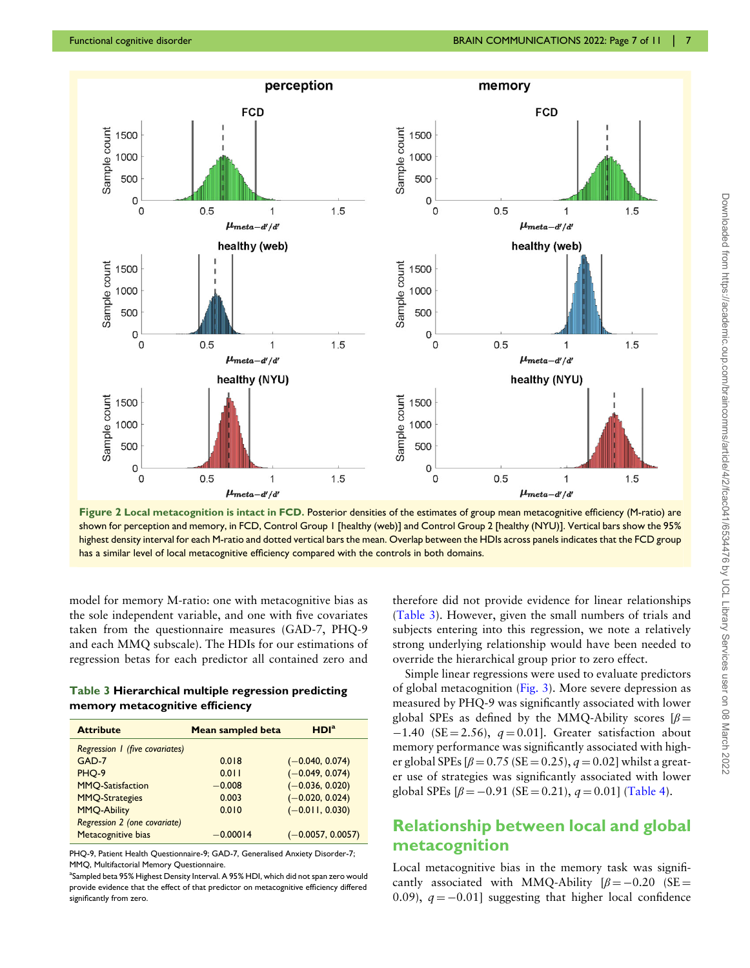<span id="page-6-0"></span>

Figure 2 Local metacognition is intact in FCD. Posterior densities of the estimates of group mean metacognitive efficiency (M-ratio) are shown for perception and memory, in FCD, Control Group 1 [healthy (web)] and Control Group 2 [healthy (NYU)]. Vertical bars show the 95% highest density interval for each M-ratio and dotted vertical bars the mean. Overlap between the HDIs across panels indicates that the FCD group has a similar level of local metacognitive efficiency compared with the controls in both domains.

model for memory M-ratio: one with metacognitive bias as the sole independent variable, and one with five covariates taken from the questionnaire measures (GAD-7, PHQ-9 and each MMQ subscale). The HDIs for our estimations of regression betas for each predictor all contained zero and

Table 3 Hierarchical multiple regression predicting memory metacognitive efficiency

| <b>Attribute</b>               | Mean sampled beta | HDI <sup>a</sup>    |
|--------------------------------|-------------------|---------------------|
| Regression 1 (five covariates) |                   |                     |
| $GAD-7$                        | 0.018             | $(-0.040, 0.074)$   |
| PHO-9                          | 0.011             | $(-0.049, 0.074)$   |
| <b>MMQ-Satisfaction</b>        | $-0.008$          | $(-0.036, 0.020)$   |
| <b>MMQ-Strategies</b>          | 0.003             | $(-0.020, 0.024)$   |
| <b>MMO-Ability</b>             | 0.010             | $(-0.011, 0.030)$   |
| Regression 2 (one covariate)   |                   |                     |
| Metacognitive bias             | $-0.00014$        | $(-0.0057, 0.0057)$ |

PHQ-9, Patient Health Questionnaire-9; GAD-7, Generalised Anxiety Disorder-7; MMQ, Multifactorial Memory Questionnaire.

<sup>a</sup>Sampled beta 95% Highest Density Interval. A 95% HDI, which did not span zero would provide evidence that the effect of that predictor on metacognitive efficiency differed significantly from zero.

therefore did not provide evidence for linear relationships (Table 3). However, given the small numbers of trials and subjects entering into this regression, we note a relatively strong underlying relationship would have been needed to override the hierarchical group prior to zero effect.

Simple linear regressions were used to evaluate predictors of global metacognition ([Fig. 3](#page-7-0)). More severe depression as measured by PHQ-9 was significantly associated with lower global SPEs as defined by the MMQ-Ability scores  $\beta$  =  $-1.40$  (SE = 2.56),  $q = 0.01$ ]. Greater satisfaction about memory performance was significantly associated with higher global SPEs  $\beta = 0.75$  (SE = 0.25),  $q = 0.02$ ] whilst a greater use of strategies was significantly associated with lower global SPEs  $\beta = -0.91$  (SE = 0.21),  $q = 0.01$ ] ([Table 4\)](#page-7-0).

#### Relationship between local and global metacognition

Local metacognitive bias in the memory task was significantly associated with MMQ-Ability  $[\beta = -0.20$  (SE = 0.09),  $q = -0.01$ ] suggesting that higher local confidence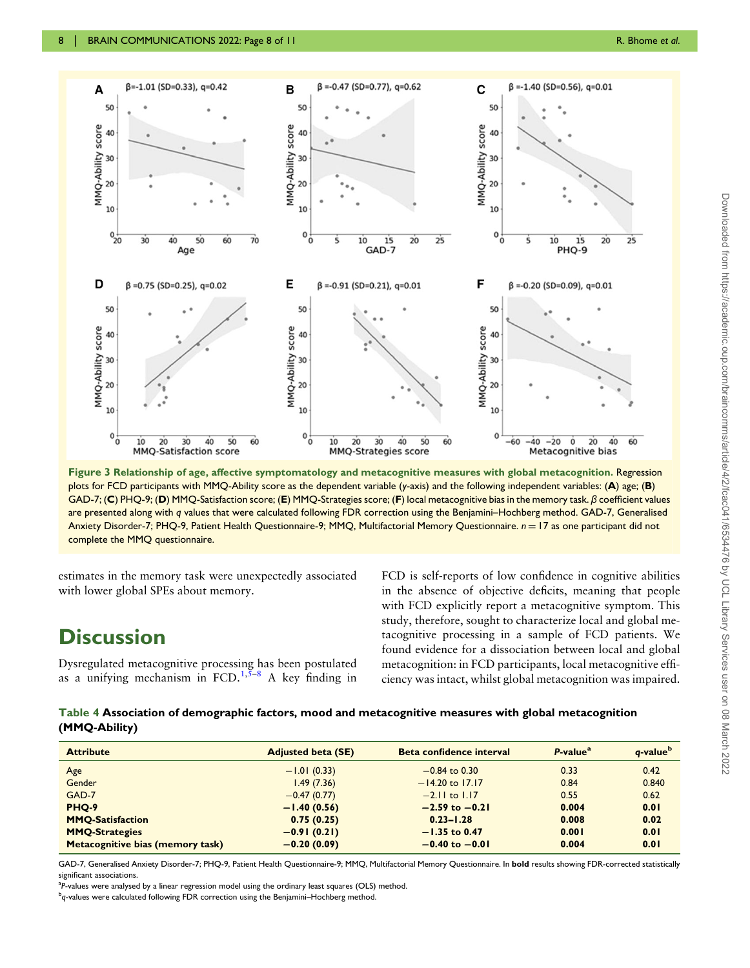<span id="page-7-0"></span>

Figure 3 Relationship of age, affective symptomatology and metacognitive measures with global metacognition. Regression plots for FCD participants with MMQ-Ability score as the dependent variable (y-axis) and the following independent variables: (A) age; (B) GAD-7; (C) PHQ-9; (D) MMQ-Satisfaction score; (E) MMQ-Strategies score; (F) local metacognitive bias in the memory task. β coefficient values are presented along with q values that were calculated following FDR correction using the Benjamini–Hochberg method. GAD-7, Generalised Anxiety Disorder-7; PHQ-9, Patient Health Questionnaire-9; MMQ, Multifactorial Memory Questionnaire. n = 17 as one participant did not complete the MMQ questionnaire.

estimates in the memory task were unexpectedly associated with lower global SPEs about memory.

## **Discussion**

Dysregulated metacognitive processing has been postulated as a unifying mechanism in  $FCD$ ,  $1,5-8$  $1,5-8$  $1,5-8$  A key finding in FCD is self-reports of low confidence in cognitive abilities in the absence of objective deficits, meaning that people with FCD explicitly report a metacognitive symptom. This study, therefore, sought to characterize local and global metacognitive processing in a sample of FCD patients. We found evidence for a dissociation between local and global metacognition: in FCD participants, local metacognitive efficiency was intact, whilst global metacognition was impaired.

Table 4 Association of demographic factors, mood and metacognitive measures with global metacognition (MMQ-Ability)

| <b>Attribute</b>                 | <b>Adjusted beta (SE)</b> | Beta confidence interval | $P-valuea$ | q-value <sup>b</sup> |
|----------------------------------|---------------------------|--------------------------|------------|----------------------|
| Age                              | $-1.01(0.33)$             | $-0.84$ to 0.30          | 0.33       | 0.42                 |
| Gender                           | 1.49(7.36)                | $-14.20$ to 17.17        | 0.84       | 0.840                |
| GAD-7                            | $-0.47(0.77)$             | $-2.11$ to $1.17$        | 0.55       | 0.62                 |
| <b>PHO-9</b>                     | $-1.40(0.56)$             | $-2.59$ to $-0.21$       | 0.004      | 0.01                 |
| <b>MMQ-Satisfaction</b>          | 0.75(0.25)                | $0.23 - 1.28$            | 0.008      | 0.02                 |
| <b>MMQ-Strategies</b>            | $-0.91(0.21)$             | $-1.35$ to 0.47          | 0.001      | 0.01                 |
| Metacognitive bias (memory task) | $-0.20(0.09)$             | $-0.40$ to $-0.01$       | 0.004      | 0.01                 |

GAD-7, Generalised Anxiety Disorder-7; PHQ-9, Patient Health Questionnaire-9; MMQ, Multifactorial Memory Questionnaire. In bold results showing FDR-corrected statistically significant associations.

<sup>a</sup>P-values were analysed by a linear regression model using the ordinary least squares (OLS) method.<br><sup>b</sup>e values were calculated following EDB correction using the Boniamini–Heckberg method

b<sub>q-values</sub> were calculated following FDR correction using the Benjamini–Hochberg method.<br>.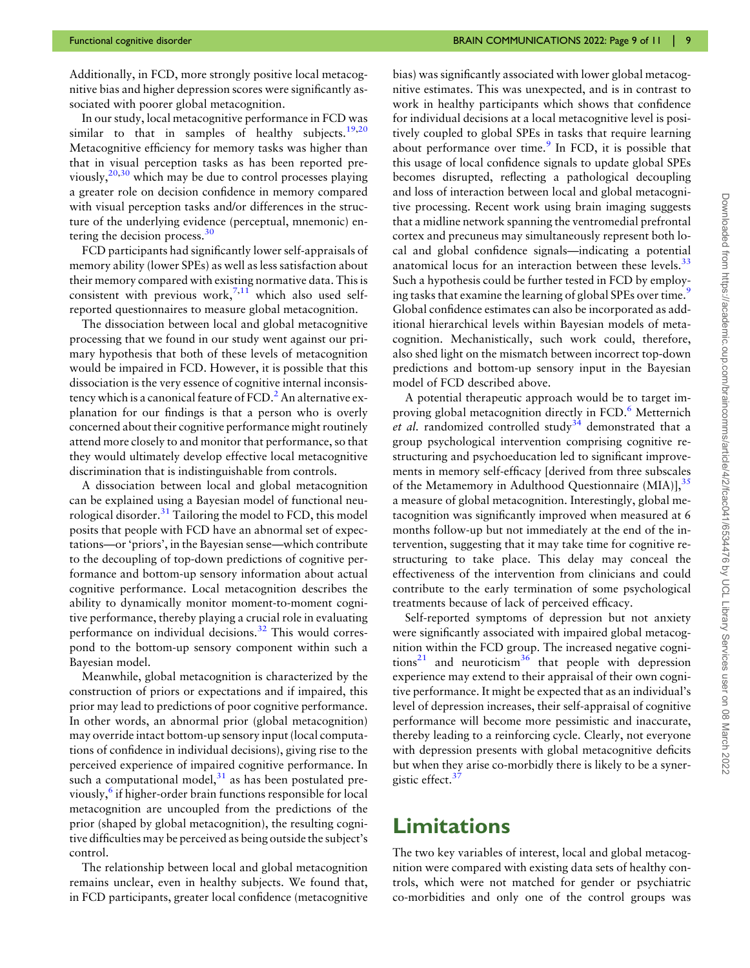Additionally, in FCD, more strongly positive local metacognitive bias and higher depression scores were significantly associated with poorer global metacognition.

In our study, local metacognitive performance in FCD was similar to that in samples of healthy subjects.<sup>[19,20](#page-10-0)</sup> Metacognitive efficiency for memory tasks was higher than that in visual perception tasks as has been reported previously,  $20,30$  which may be due to control processes playing a greater role on decision confidence in memory compared with visual perception tasks and/or differences in the structure of the underlying evidence (perceptual, mnemonic) entering the decision process. $30$ 

<span id="page-8-0"></span>FCD participants had significantly lower self-appraisals of memory ability (lower SPEs) as well as less satisfaction about their memory compared with existing normative data. This is consistent with previous work,  $7,11$  which also used selfreported questionnaires to measure global metacognition.

The dissociation between local and global metacognitive processing that we found in our study went against our primary hypothesis that both of these levels of metacognition would be impaired in FCD. However, it is possible that this dissociation is the very essence of cognitive internal inconsistency which is a canonical feature of  $FCD<sup>2</sup>$  $FCD<sup>2</sup>$  $FCD<sup>2</sup>$  An alternative explanation for our findings is that a person who is overly concerned about their cognitive performance might routinely attend more closely to and monitor that performance, so that they would ultimately develop effective local metacognitive discrimination that is indistinguishable from controls.

A dissociation between local and global metacognition can be explained using a Bayesian model of functional neurological disorder. $31$  Tailoring the model to FCD, this model posits that people with FCD have an abnormal set of expectations—or 'priors', in the Bayesian sense—which contribute to the decoupling of top-down predictions of cognitive performance and bottom-up sensory information about actual cognitive performance. Local metacognition describes the ability to dynamically monitor moment-to-moment cognitive performance, thereby playing a crucial role in evaluating performance on individual decisions.<sup>[32](#page-10-0)</sup> This would correspond to the bottom-up sensory component within such a Bayesian model.

<span id="page-8-2"></span><span id="page-8-1"></span>Meanwhile, global metacognition is characterized by the construction of priors or expectations and if impaired, this prior may lead to predictions of poor cognitive performance. In other words, an abnormal prior (global metacognition) may override intact bottom-up sensory input (local computations of confidence in individual decisions), giving rise to the perceived experience of impaired cognitive performance. In such a computational model, $31$  as has been postulated pre-viously,<sup>[6](#page-9-0)</sup> if higher-order brain functions responsible for local metacognition are uncoupled from the predictions of the prior (shaped by global metacognition), the resulting cognitive difficulties may be perceived as being outside the subject's control.

The relationship between local and global metacognition remains unclear, even in healthy subjects. We found that, in FCD participants, greater local confidence (metacognitive

bias) was significantly associated with lower global metacognitive estimates. This was unexpected, and is in contrast to work in healthy participants which shows that confidence for individual decisions at a local metacognitive level is positively coupled to global SPEs in tasks that require learning about performance over time. $9 \text{ In FCD}$  $9 \text{ In FCD}$ , it is possible that this usage of local confidence signals to update global SPEs becomes disrupted, reflecting a pathological decoupling and loss of interaction between local and global metacognitive processing. Recent work using brain imaging suggests that a midline network spanning the ventromedial prefrontal cortex and precuneus may simultaneously represent both local and global confidence signals—indicating a potential anatomical locus for an interaction between these levels.<sup>[33](#page-10-0)</sup> Such a hypothesis could be further tested in FCD by employ-ing tasks that examine the learning of global SPEs over time.<sup>[9](#page-10-0)</sup> Global confidence estimates can also be incorporated as additional hierarchical levels within Bayesian models of metacognition. Mechanistically, such work could, therefore, also shed light on the mismatch between incorrect top-down predictions and bottom-up sensory input in the Bayesian model of FCD described above.

<span id="page-8-5"></span><span id="page-8-4"></span><span id="page-8-3"></span>A potential therapeutic approach would be to target im-proving global metacognition directly in FCD.<sup>[6](#page-9-0)</sup> Metternich et al. randomized controlled study<sup>34</sup> demonstrated that a group psychological intervention comprising cognitive restructuring and psychoeducation led to significant improvements in memory self-efficacy [derived from three subscales of the Metamemory in Adulthood Questionnaire (MIA)],<sup>[35](#page-10-0)</sup> a measure of global metacognition. Interestingly, global metacognition was significantly improved when measured at 6 months follow-up but not immediately at the end of the intervention, suggesting that it may take time for cognitive restructuring to take place. This delay may conceal the effectiveness of the intervention from clinicians and could contribute to the early termination of some psychological treatments because of lack of perceived efficacy.

<span id="page-8-6"></span>Self-reported symptoms of depression but not anxiety were significantly associated with impaired global metacognition within the FCD group. The increased negative cogni-tions<sup>[21](#page-10-0)</sup> and neuroticism<sup>36</sup> that people with depression experience may extend to their appraisal of their own cognitive performance. It might be expected that as an individual's level of depression increases, their self-appraisal of cognitive performance will become more pessimistic and inaccurate, thereby leading to a reinforcing cycle. Clearly, not everyone with depression presents with global metacognitive deficits but when they arise co-morbidly there is likely to be a synergistic effect.<sup>3</sup>

## <span id="page-8-7"></span>Limitations

The two key variables of interest, local and global metacognition were compared with existing data sets of healthy controls, which were not matched for gender or psychiatric co-morbidities and only one of the control groups was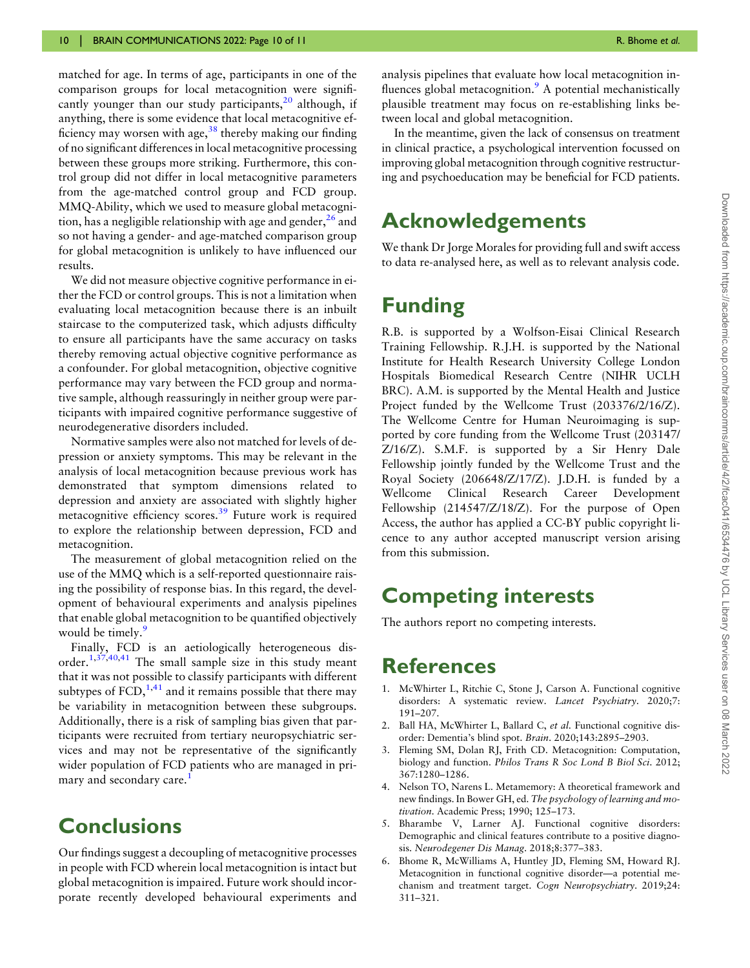<span id="page-9-1"></span><span id="page-9-0"></span>matched for age. In terms of age, participants in one of the comparison groups for local metacognition were significantly younger than our study participants, $20$  although, if anything, there is some evidence that local metacognitive efficiency may worsen with age,  $38$  thereby making our finding of no significant differences in local metacognitive processing between these groups more striking. Furthermore, this control group did not differ in local metacognitive parameters from the age-matched control group and FCD group. MMQ-Ability, which we used to measure global metacognition, has a negligible relationship with age and gender,  $26$  and so not having a gender- and age-matched comparison group for global metacognition is unlikely to have influenced our results.

We did not measure objective cognitive performance in either the FCD or control groups. This is not a limitation when evaluating local metacognition because there is an inbuilt staircase to the computerized task, which adjusts difficulty to ensure all participants have the same accuracy on tasks thereby removing actual objective cognitive performance as a confounder. For global metacognition, objective cognitive performance may vary between the FCD group and normative sample, although reassuringly in neither group were participants with impaired cognitive performance suggestive of neurodegenerative disorders included.

Normative samples were also not matched for levels of depression or anxiety symptoms. This may be relevant in the analysis of local metacognition because previous work has demonstrated that symptom dimensions related to depression and anxiety are associated with slightly higher metacognitive efficiency scores.<sup>39</sup> Future work is required to explore the relationship between depression, FCD and metacognition.

<span id="page-9-2"></span>The measurement of global metacognition relied on the use of the MMQ which is a self-reported questionnaire raising the possibility of response bias. In this regard, the development of behavioural experiments and analysis pipelines that enable global metacognition to be quantified objectively would be timely.<sup>[9](#page-10-0)</sup>

<span id="page-9-4"></span><span id="page-9-3"></span>Finally, FCD is an aetiologically heterogeneous disorder.1,[37,40,41](#page-10-0) The small sample size in this study meant that it was not possible to classify participants with different subtypes of  $FCD$ ,<sup>1,[41](#page-10-0)</sup> and it remains possible that there may be variability in metacognition between these subgroups. Additionally, there is a risk of sampling bias given that participants were recruited from tertiary neuropsychiatric services and may not be representative of the significantly wider population of FCD patients who are managed in primary and secondary care.<sup>1</sup>

## **Conclusions**

Our findings suggest a decoupling of metacognitive processes in people with FCD wherein local metacognition is intact but global metacognition is impaired. Future work should incorporate recently developed behavioural experiments and Downloaded from https://academic.oup.com/braincomms/article/4/2/fcac041/6534476 by UCL Library Services user on 08 March 2022 Downloaded from https://academic.oup.com/braincomms/article/4/2/fcac041/6534476 by UCL Library Services user on 08 March 2022

analysis pipelines that evaluate how local metacognition in-fluences global metacognition.<sup>[9](#page-10-0)</sup> A potential mechanistically plausible treatment may focus on re-establishing links between local and global metacognition.

In the meantime, given the lack of consensus on treatment in clinical practice, a psychological intervention focussed on improving global metacognition through cognitive restructuring and psychoeducation may be beneficial for FCD patients.

## Acknowledgements

We thank Dr Jorge Morales for providing full and swift access to data re-analysed here, as well as to relevant analysis code.

## Funding

R.B. is supported by a Wolfson-Eisai Clinical Research Training Fellowship. R.J.H. is supported by the National Institute for Health Research University College London Hospitals Biomedical Research Centre (NIHR UCLH BRC). A.M. is supported by the Mental Health and Justice Project funded by the Wellcome Trust (203376/2/16/Z). The Wellcome Centre for Human Neuroimaging is supported by core funding from the Wellcome Trust (203147/ Z/16/Z). S.M.F. is supported by a Sir Henry Dale Fellowship jointly funded by the Wellcome Trust and the Royal Society (206648/Z/17/Z). J.D.H. is funded by a Wellcome Clinical Research Career Development Fellowship (214547/Z/18/Z). For the purpose of Open Access, the author has applied a CC-BY public copyright licence to any author accepted manuscript version arising from this submission.

## Competing interests

The authors report no competing interests.

### References

- [1](#page-1-0). McWhirter L, Ritchie C, Stone J, Carson A. Functional cognitive disorders: A systematic review. Lancet Psychiatry. 2020;7: 191–207.
- [2](#page-1-1). Ball HA, McWhirter L, Ballard C, et al. Functional cognitive disorder: Dementia's blind spot. Brain. 2020;143:2895–2903.
- [3](#page-1-2). Fleming SM, Dolan RJ, Frith CD. Metacognition: Computation, biology and function. Philos Trans R Soc Lond B Biol Sci. 2012; 367:1280–1286.
- [4](#page-1-2). Nelson TO, Narens L. Metamemory: A theoretical framework and new findings. In Bower GH, ed. The psychology of learning and motivation. Academic Press; 1990; 125–173.
- [5](#page-1-0). Bharambe V, Larner AJ. Functional cognitive disorders: Demographic and clinical features contribute to a positive diagnosis. Neurodegener Dis Manag. 2018;8:377–383.
- [6](#page-1-0). Bhome R, McWilliams A, Huntley JD, Fleming SM, Howard RJ. Metacognition in functional cognitive disorder—a potential mechanism and treatment target. Cogn Neuropsychiatry. 2019;24: 311–321.